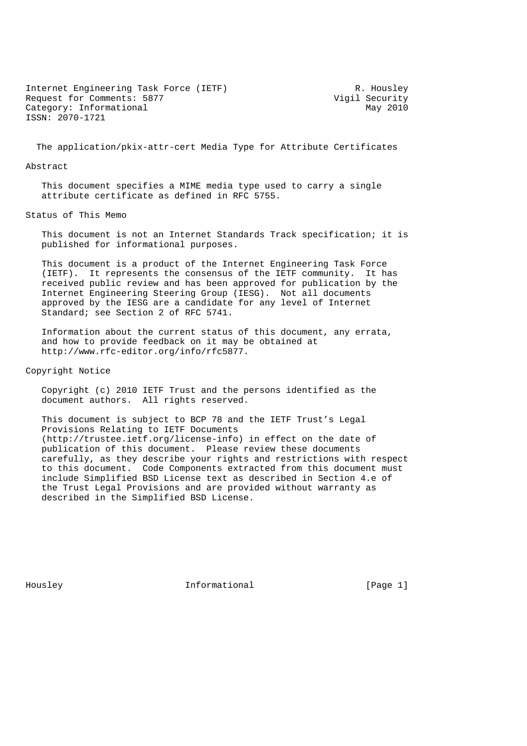Internet Engineering Task Force (IETF) R. Housley<br>Request for Comments: 5877 (Vigil Security Request for Comments: 5877 Vigil Security<br>Category: Informational May 2010 Category: Informational ISSN: 2070-1721

The application/pkix-attr-cert Media Type for Attribute Certificates

## Abstract

 This document specifies a MIME media type used to carry a single attribute certificate as defined in RFC 5755.

Status of This Memo

 This document is not an Internet Standards Track specification; it is published for informational purposes.

 This document is a product of the Internet Engineering Task Force (IETF). It represents the consensus of the IETF community. It has received public review and has been approved for publication by the Internet Engineering Steering Group (IESG). Not all documents approved by the IESG are a candidate for any level of Internet Standard; see Section 2 of RFC 5741.

 Information about the current status of this document, any errata, and how to provide feedback on it may be obtained at http://www.rfc-editor.org/info/rfc5877.

Copyright Notice

 Copyright (c) 2010 IETF Trust and the persons identified as the document authors. All rights reserved.

 This document is subject to BCP 78 and the IETF Trust's Legal Provisions Relating to IETF Documents (http://trustee.ietf.org/license-info) in effect on the date of publication of this document. Please review these documents carefully, as they describe your rights and restrictions with respect to this document. Code Components extracted from this document must include Simplified BSD License text as described in Section 4.e of the Trust Legal Provisions and are provided without warranty as described in the Simplified BSD License.

Housley **Informational** [Page 1]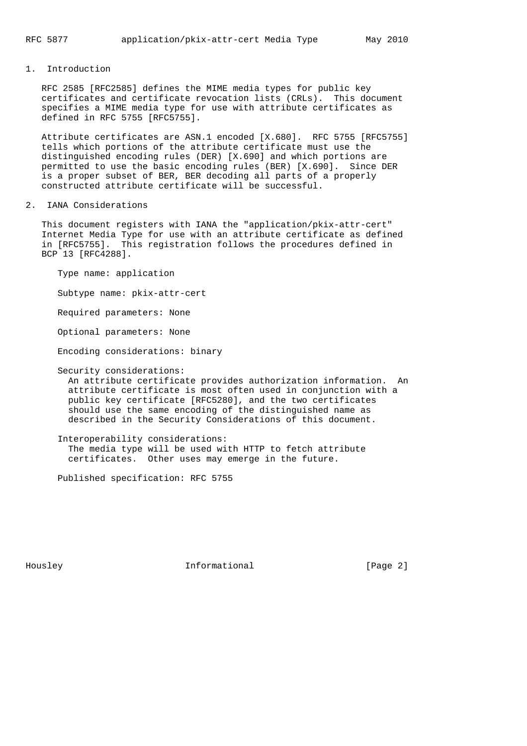1. Introduction

 RFC 2585 [RFC2585] defines the MIME media types for public key certificates and certificate revocation lists (CRLs). This document specifies a MIME media type for use with attribute certificates as defined in RFC 5755 [RFC5755].

 Attribute certificates are ASN.1 encoded [X.680]. RFC 5755 [RFC5755] tells which portions of the attribute certificate must use the distinguished encoding rules (DER) [X.690] and which portions are permitted to use the basic encoding rules (BER) [X.690]. Since DER is a proper subset of BER, BER decoding all parts of a properly constructed attribute certificate will be successful.

## 2. IANA Considerations

 This document registers with IANA the "application/pkix-attr-cert" Internet Media Type for use with an attribute certificate as defined in [RFC5755]. This registration follows the procedures defined in BCP 13 [RFC4288].

 Type name: application Subtype name: pkix-attr-cert Required parameters: None Optional parameters: None Encoding considerations: binary Security considerations: An attribute certificate provides authorization information. An attribute certificate is most often used in conjunction with a public key certificate [RFC5280], and the two certificates should use the same encoding of the distinguished name as described in the Security Considerations of this document.

 Interoperability considerations: The media type will be used with HTTP to fetch attribute certificates. Other uses may emerge in the future.

Published specification: RFC 5755

Housley **Informational Informational** [Page 2]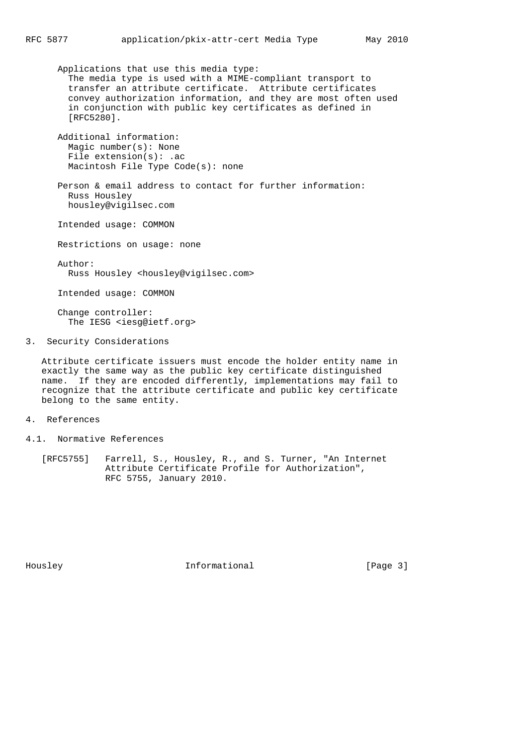Applications that use this media type: The media type is used with a MIME-compliant transport to transfer an attribute certificate. Attribute certificates convey authorization information, and they are most often used in conjunction with public key certificates as defined in [RFC5280].

 Additional information: Magic number(s): None File extension(s): .ac Macintosh File Type Code(s): none

 Person & email address to contact for further information: Russ Housley housley@vigilsec.com

Intended usage: COMMON

Restrictions on usage: none

 Author: Russ Housley <housley@vigilsec.com>

Intended usage: COMMON

 Change controller: The IESG <iesq@ietf.org>

3. Security Considerations

 Attribute certificate issuers must encode the holder entity name in exactly the same way as the public key certificate distinguished name. If they are encoded differently, implementations may fail to recognize that the attribute certificate and public key certificate belong to the same entity.

- 4. References
- 4.1. Normative References
	- [RFC5755] Farrell, S., Housley, R., and S. Turner, "An Internet Attribute Certificate Profile for Authorization", RFC 5755, January 2010.

Housley **Informational Informational** [Page 3]